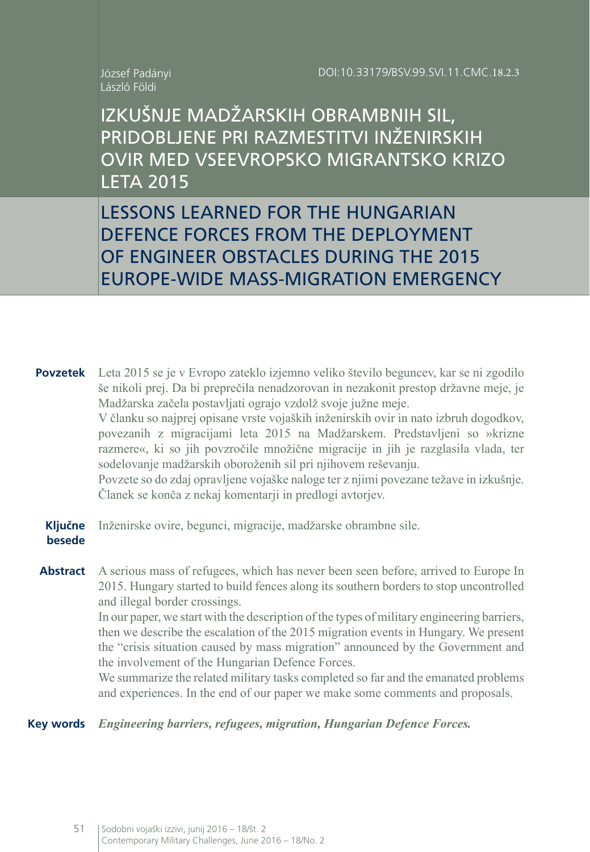## József Padányi László Földi

IZKUŠNJE MADŽARSKIH OBRAMBNIH SIL, PRIDOBLJENE PRI RAZMESTITVI INŽENIRSKIH OVIR MED VSEEVROPSKO MIGRANTSKO KRIZO LETA 2015

LESSONS LEARNED FOR THE HUNGARIAN DEFENCE FORCES FROM THE DEPLOYMENT OF ENGINEER OBSTACLES DURING THE 2015 EUROPE-WIDE MASS-MIGRATION EMERGENCY

**Povzetek** Leta 2015 se je v Evropo zateklo izjemno veliko število beguncev, kar se ni zgodilo še nikoli prej. Da bi preprečila nenadzorovan in nezakonit prestop državne meje, je Madžarska začela postavljati ograjo vzdolž svoje južne meje. V članku so najprej opisane vrste vojaških inženirskih ovir in nato izbruh dogodkov, povezanih z migracijami leta 2015 na Madžarskem. Predstavljeni so »krizne razmere«, ki so jih povzročile množične migracije in jih je razglasila vlada, ter sodelovanje madžarskih oboroženih sil pri njihovem reševanju. Povzete so do zdaj opravljene vojaške naloge ter z njimi povezane težave in izkušnje. Članek se konča z nekaj komentarji in predlogi avtorjev.

**Ključne besede** Inženirske ovire, begunci, migracije, madžarske obrambne sile.

**Abstract** A serious mass of refugees, which has never been seen before, arrived to Europe In 2015. Hungary started to build fences along its southern borders to stop uncontrolled and illegal border crossings.

In our paper, we start with the description of the types of military engineering barriers, then we describe the escalation of the 2015 migration events in Hungary. We present the "crisis situation caused by mass migration" announced by the Government and the involvement of the Hungarian Defence Forces.

We summarize the related military tasks completed so far and the emanated problems and experiences. In the end of our paper we make some comments and proposals.

**Key words** *Engineering barriers, refugees, migration, Hungarian Defence Forces.*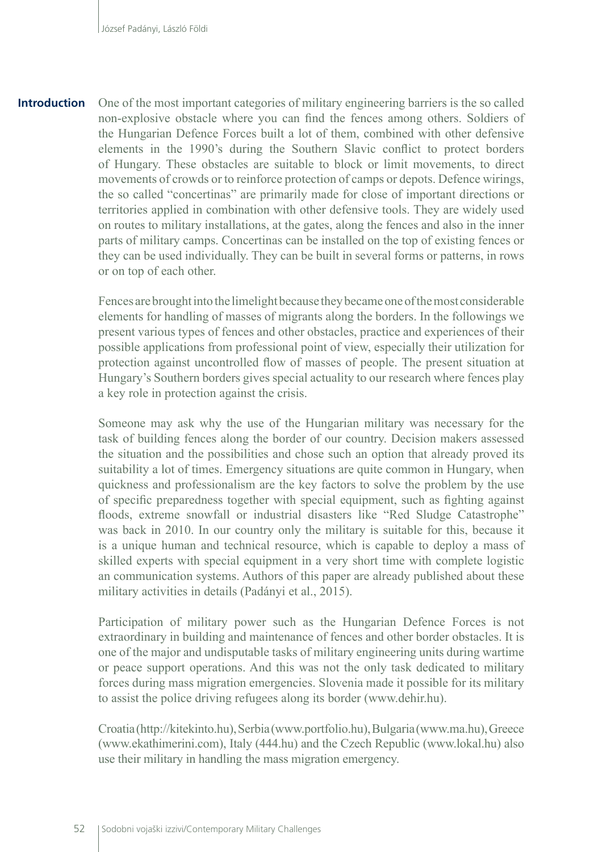One of the most important categories of military engineering barriers is the so called non-explosive obstacle where you can find the fences among others. Soldiers of the Hungarian Defence Forces built a lot of them, combined with other defensive elements in the 1990's during the Southern Slavic conflict to protect borders of Hungary. These obstacles are suitable to block or limit movements, to direct movements of crowds or to reinforce protection of camps or depots. Defence wirings, the so called "concertinas" are primarily made for close of important directions or territories applied in combination with other defensive tools. They are widely used on routes to military installations, at the gates, along the fences and also in the inner parts of military camps. Concertinas can be installed on the top of existing fences or they can be used individually. They can be built in several forms or patterns, in rows or on top of each other. **Introduction**

> Fences are brought into the limelight because they became one of the most considerable elements for handling of masses of migrants along the borders. In the followings we present various types of fences and other obstacles, practice and experiences of their possible applications from professional point of view, especially their utilization for protection against uncontrolled flow of masses of people. The present situation at Hungary's Southern borders gives special actuality to our research where fences play a key role in protection against the crisis.

> Someone may ask why the use of the Hungarian military was necessary for the task of building fences along the border of our country. Decision makers assessed the situation and the possibilities and chose such an option that already proved its suitability a lot of times. Emergency situations are quite common in Hungary, when quickness and professionalism are the key factors to solve the problem by the use of specific preparedness together with special equipment, such as fighting against floods, extreme snowfall or industrial disasters like "Red Sludge Catastrophe" was back in 2010. In our country only the military is suitable for this, because it is a unique human and technical resource, which is capable to deploy a mass of skilled experts with special equipment in a very short time with complete logistic an communication systems. Authors of this paper are already published about these military activities in details (Padányi et al., 2015).

> Participation of military power such as the Hungarian Defence Forces is not extraordinary in building and maintenance of fences and other border obstacles. It is one of the major and undisputable tasks of military engineering units during wartime or peace support operations. And this was not the only task dedicated to military forces during mass migration emergencies. Slovenia made it possible for its military to assist the police driving refugees along its border (www.dehir.hu).

> Croatia (http://kitekinto.hu), Serbia (www.portfolio.hu), Bulgaria (www.ma.hu), Greece (www.ekathimerini.com), Italy (444.hu) and the Czech Republic (www.lokal.hu) also use their military in handling the mass migration emergency.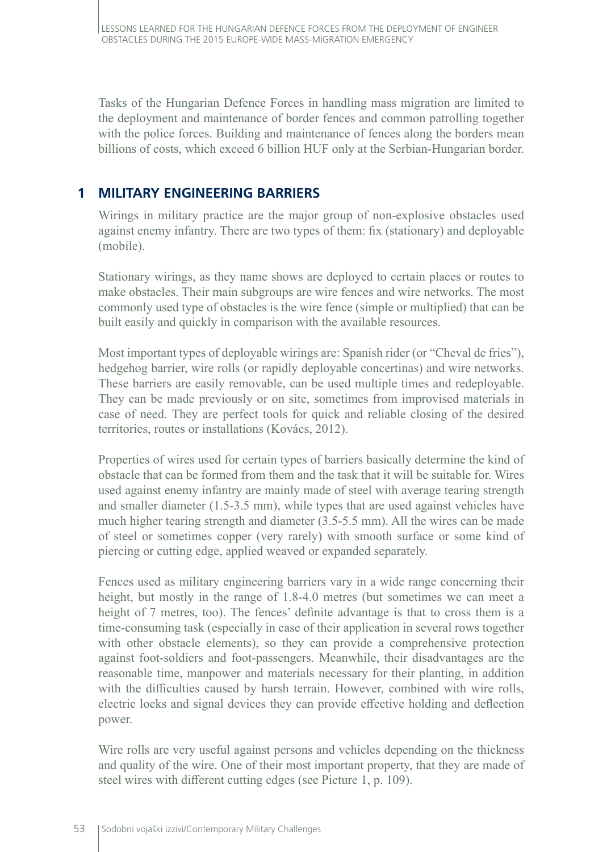Tasks of the Hungarian Defence Forces in handling mass migration are limited to the deployment and maintenance of border fences and common patrolling together with the police forces. Building and maintenance of fences along the borders mean billions of costs, which exceed 6 billion HUF only at the Serbian-Hungarian border.

## **1 MILITARY ENGINEERING BARRIERS**

Wirings in military practice are the major group of non-explosive obstacles used against enemy infantry. There are two types of them: fix (stationary) and deployable (mobile).

Stationary wirings, as they name shows are deployed to certain places or routes to make obstacles. Their main subgroups are wire fences and wire networks. The most commonly used type of obstacles is the wire fence (simple or multiplied) that can be built easily and quickly in comparison with the available resources.

Most important types of deployable wirings are: Spanish rider (or "Cheval de fries"), hedgehog barrier, wire rolls (or rapidly deployable concertinas) and wire networks. These barriers are easily removable, can be used multiple times and redeployable. They can be made previously or on site, sometimes from improvised materials in case of need. They are perfect tools for quick and reliable closing of the desired territories, routes or installations (Kovács, 2012).

Properties of wires used for certain types of barriers basically determine the kind of obstacle that can be formed from them and the task that it will be suitable for. Wires used against enemy infantry are mainly made of steel with average tearing strength and smaller diameter (1.5-3.5 mm), while types that are used against vehicles have much higher tearing strength and diameter (3.5-5.5 mm). All the wires can be made of steel or sometimes copper (very rarely) with smooth surface or some kind of piercing or cutting edge, applied weaved or expanded separately.

Fences used as military engineering barriers vary in a wide range concerning their height, but mostly in the range of 1.8-4.0 metres (but sometimes we can meet a height of 7 metres, too). The fences' definite advantage is that to cross them is a time-consuming task (especially in case of their application in several rows together with other obstacle elements), so they can provide a comprehensive protection against foot-soldiers and foot-passengers. Meanwhile, their disadvantages are the reasonable time, manpower and materials necessary for their planting, in addition with the difficulties caused by harsh terrain. However, combined with wire rolls, electric locks and signal devices they can provide effective holding and deflection power.

Wire rolls are very useful against persons and vehicles depending on the thickness and quality of the wire. One of their most important property, that they are made of steel wires with different cutting edges (see Picture 1, p. 109).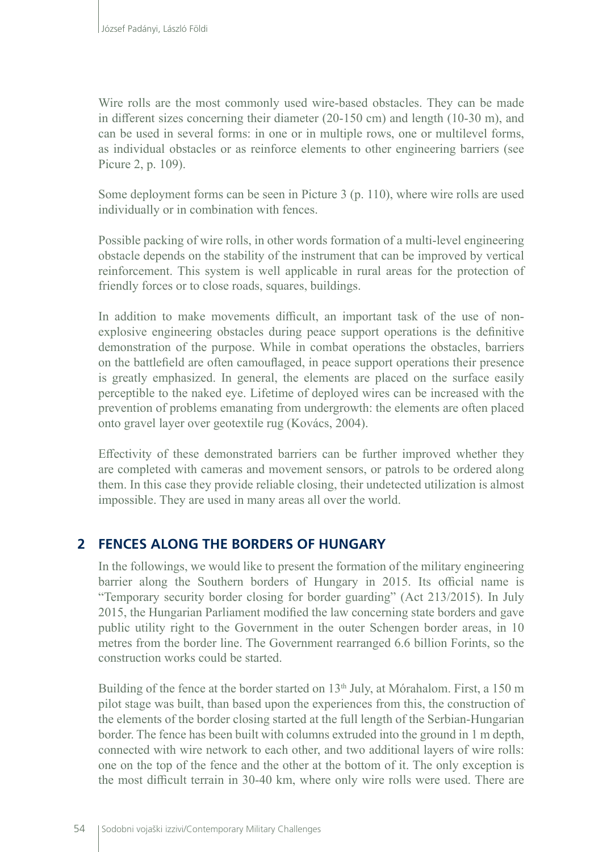Wire rolls are the most commonly used wire-based obstacles. They can be made in different sizes concerning their diameter (20-150 cm) and length (10-30 m), and can be used in several forms: in one or in multiple rows, one or multilevel forms, as individual obstacles or as reinforce elements to other engineering barriers (see Picure 2, p. 109).

Some deployment forms can be seen in Picture 3 (p. 110), where wire rolls are used individually or in combination with fences.

Possible packing of wire rolls, in other words formation of a multi-level engineering obstacle depends on the stability of the instrument that can be improved by vertical reinforcement. This system is well applicable in rural areas for the protection of friendly forces or to close roads, squares, buildings.

In addition to make movements difficult, an important task of the use of nonexplosive engineering obstacles during peace support operations is the definitive demonstration of the purpose. While in combat operations the obstacles, barriers on the battlefield are often camouflaged, in peace support operations their presence is greatly emphasized. In general, the elements are placed on the surface easily perceptible to the naked eye. Lifetime of deployed wires can be increased with the prevention of problems emanating from undergrowth: the elements are often placed onto gravel layer over geotextile rug (Kovács, 2004).

Effectivity of these demonstrated barriers can be further improved whether they are completed with cameras and movement sensors, or patrols to be ordered along them. In this case they provide reliable closing, their undetected utilization is almost impossible. They are used in many areas all over the world.

# **2 FENCES ALONG THE BORDERS OF HUNGARY**

In the followings, we would like to present the formation of the military engineering barrier along the Southern borders of Hungary in 2015. Its official name is "Temporary security border closing for border guarding" (Act 213/2015). In July 2015, the Hungarian Parliament modified the law concerning state borders and gave public utility right to the Government in the outer Schengen border areas, in 10 metres from the border line. The Government rearranged 6.6 billion Forints, so the construction works could be started.

Building of the fence at the border started on  $13<sup>th</sup>$  July, at Mórahalom. First, a 150 m pilot stage was built, than based upon the experiences from this, the construction of the elements of the border closing started at the full length of the Serbian-Hungarian border. The fence has been built with columns extruded into the ground in 1 m depth, connected with wire network to each other, and two additional layers of wire rolls: one on the top of the fence and the other at the bottom of it. The only exception is the most difficult terrain in 30-40 km, where only wire rolls were used. There are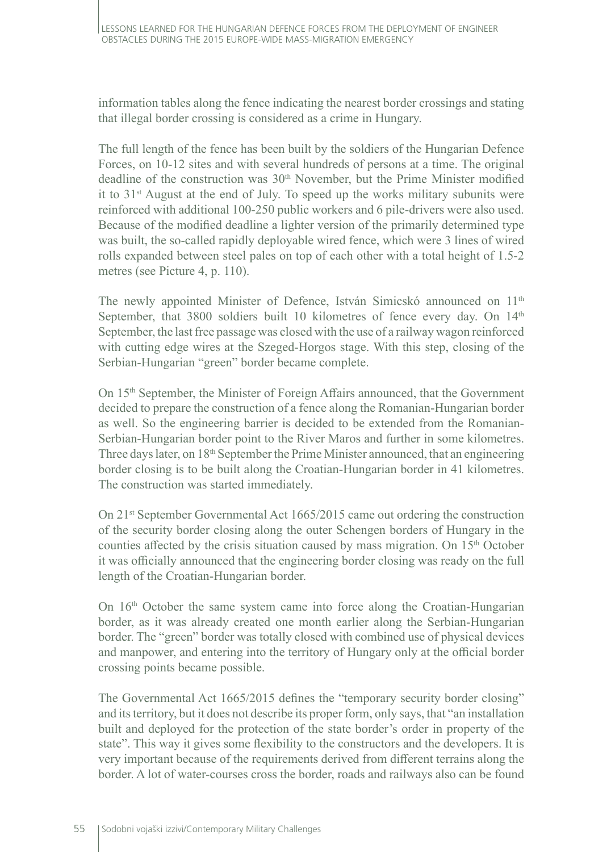information tables along the fence indicating the nearest border crossings and stating that illegal border crossing is considered as a crime in Hungary.

The full length of the fence has been built by the soldiers of the Hungarian Defence Forces, on 10-12 sites and with several hundreds of persons at a time. The original deadline of the construction was  $30<sup>th</sup>$  November, but the Prime Minister modified it to  $31<sup>st</sup>$  August at the end of July. To speed up the works military subunits were reinforced with additional 100-250 public workers and 6 pile-drivers were also used. Because of the modified deadline a lighter version of the primarily determined type was built, the so-called rapidly deployable wired fence, which were 3 lines of wired rolls expanded between steel pales on top of each other with a total height of 1.5-2 metres (see Picture 4, p. 110).

The newly appointed Minister of Defence, István Simicskó announced on  $11<sup>th</sup>$ September, that  $3800$  soldiers built 10 kilometres of fence every day. On  $14<sup>th</sup>$ September, the last free passage was closed with the use of a railway wagon reinforced with cutting edge wires at the Szeged-Horgos stage. With this step, closing of the Serbian-Hungarian "green" border became complete.

On 15<sup>th</sup> September, the Minister of Foreign Affairs announced, that the Government decided to prepare the construction of a fence along the Romanian-Hungarian border as well. So the engineering barrier is decided to be extended from the Romanian-Serbian-Hungarian border point to the River Maros and further in some kilometres. Three days later, on 18<sup>th</sup> September the Prime Minister announced, that an engineering border closing is to be built along the Croatian-Hungarian border in 41 kilometres. The construction was started immediately.

On 21<sup>st</sup> September Governmental Act 1665/2015 came out ordering the construction of the security border closing along the outer Schengen borders of Hungary in the counties affected by the crisis situation caused by mass migration. On 15th October it was officially announced that the engineering border closing was ready on the full length of the Croatian-Hungarian border.

On 16<sup>th</sup> October the same system came into force along the Croatian-Hungarian border, as it was already created one month earlier along the Serbian-Hungarian border. The "green" border was totally closed with combined use of physical devices and manpower, and entering into the territory of Hungary only at the official border crossing points became possible.

The Governmental Act 1665/2015 defines the "temporary security border closing" and its territory, but it does not describe its proper form, only says, that "an installation built and deployed for the protection of the state border's order in property of the state". This way it gives some flexibility to the constructors and the developers. It is very important because of the requirements derived from different terrains along the border. A lot of water-courses cross the border, roads and railways also can be found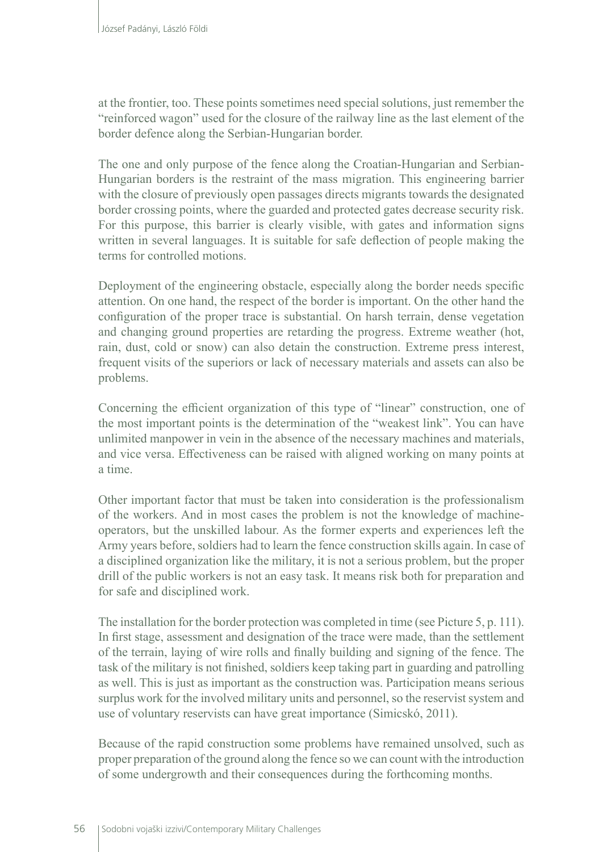at the frontier, too. These points sometimes need special solutions, just remember the "reinforced wagon" used for the closure of the railway line as the last element of the border defence along the Serbian-Hungarian border.

The one and only purpose of the fence along the Croatian-Hungarian and Serbian-Hungarian borders is the restraint of the mass migration. This engineering barrier with the closure of previously open passages directs migrants towards the designated border crossing points, where the guarded and protected gates decrease security risk. For this purpose, this barrier is clearly visible, with gates and information signs written in several languages. It is suitable for safe deflection of people making the terms for controlled motions.

Deployment of the engineering obstacle, especially along the border needs specific attention. On one hand, the respect of the border is important. On the other hand the configuration of the proper trace is substantial. On harsh terrain, dense vegetation and changing ground properties are retarding the progress. Extreme weather (hot, rain, dust, cold or snow) can also detain the construction. Extreme press interest, frequent visits of the superiors or lack of necessary materials and assets can also be problems.

Concerning the efficient organization of this type of "linear" construction, one of the most important points is the determination of the "weakest link". You can have unlimited manpower in vein in the absence of the necessary machines and materials, and vice versa. Effectiveness can be raised with aligned working on many points at a time.

Other important factor that must be taken into consideration is the professionalism of the workers. And in most cases the problem is not the knowledge of machineoperators, but the unskilled labour. As the former experts and experiences left the Army years before, soldiers had to learn the fence construction skills again. In case of a disciplined organization like the military, it is not a serious problem, but the proper drill of the public workers is not an easy task. It means risk both for preparation and for safe and disciplined work.

The installation for the border protection was completed in time (see Picture 5, p. 111). In first stage, assessment and designation of the trace were made, than the settlement of the terrain, laying of wire rolls and finally building and signing of the fence. The task of the military is not finished, soldiers keep taking part in guarding and patrolling as well. This is just as important as the construction was. Participation means serious surplus work for the involved military units and personnel, so the reservist system and use of voluntary reservists can have great importance (Simicskó, 2011).

Because of the rapid construction some problems have remained unsolved, such as proper preparation of the ground along the fence so we can count with the introduction of some undergrowth and their consequences during the forthcoming months.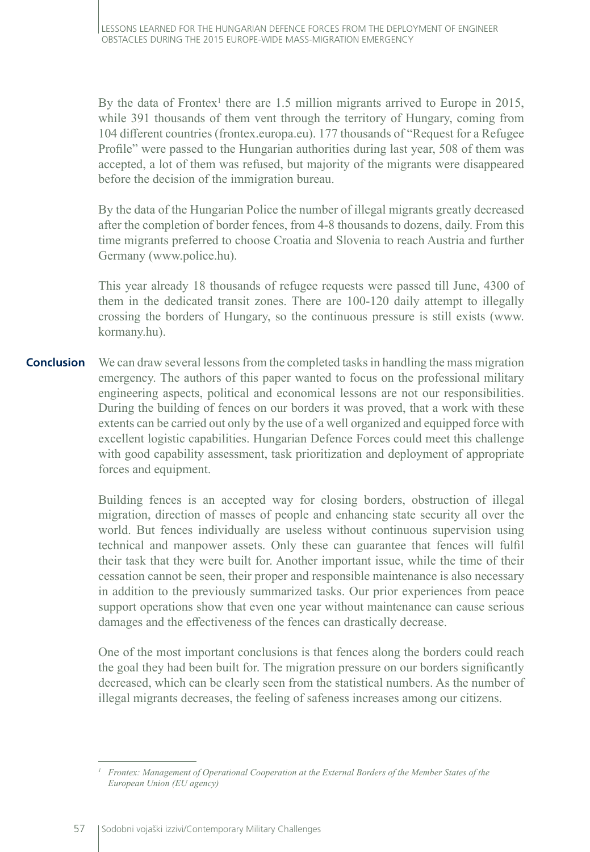By the data of Frontex<sup>1</sup> there are 1.5 million migrants arrived to Europe in 2015, while 391 thousands of them vent through the territory of Hungary, coming from 104 different countries (frontex.europa.eu). 177 thousands of "Request for a Refugee Profile" were passed to the Hungarian authorities during last year, 508 of them was accepted, a lot of them was refused, but majority of the migrants were disappeared before the decision of the immigration bureau.

By the data of the Hungarian Police the number of illegal migrants greatly decreased after the completion of border fences, from 4-8 thousands to dozens, daily. From this time migrants preferred to choose Croatia and Slovenia to reach Austria and further Germany (www.police.hu).

This year already 18 thousands of refugee requests were passed till June, 4300 of them in the dedicated transit zones. There are 100-120 daily attempt to illegally crossing the borders of Hungary, so the continuous pressure is still exists (www. kormany.hu).

We can draw several lessons from the completed tasks in handling the mass migration emergency. The authors of this paper wanted to focus on the professional military engineering aspects, political and economical lessons are not our responsibilities. During the building of fences on our borders it was proved, that a work with these extents can be carried out only by the use of a well organized and equipped force with excellent logistic capabilities. Hungarian Defence Forces could meet this challenge with good capability assessment, task prioritization and deployment of appropriate forces and equipment. **Conclusion**

> Building fences is an accepted way for closing borders, obstruction of illegal migration, direction of masses of people and enhancing state security all over the world. But fences individually are useless without continuous supervision using technical and manpower assets. Only these can guarantee that fences will fulfil their task that they were built for. Another important issue, while the time of their cessation cannot be seen, their proper and responsible maintenance is also necessary in addition to the previously summarized tasks. Our prior experiences from peace support operations show that even one year without maintenance can cause serious damages and the effectiveness of the fences can drastically decrease.

> One of the most important conclusions is that fences along the borders could reach the goal they had been built for. The migration pressure on our borders significantly decreased, which can be clearly seen from the statistical numbers. As the number of illegal migrants decreases, the feeling of safeness increases among our citizens.

*<sup>1</sup> Frontex: Management of Operational Cooperation at the External Borders of the Member States of the European Union (EU agency)*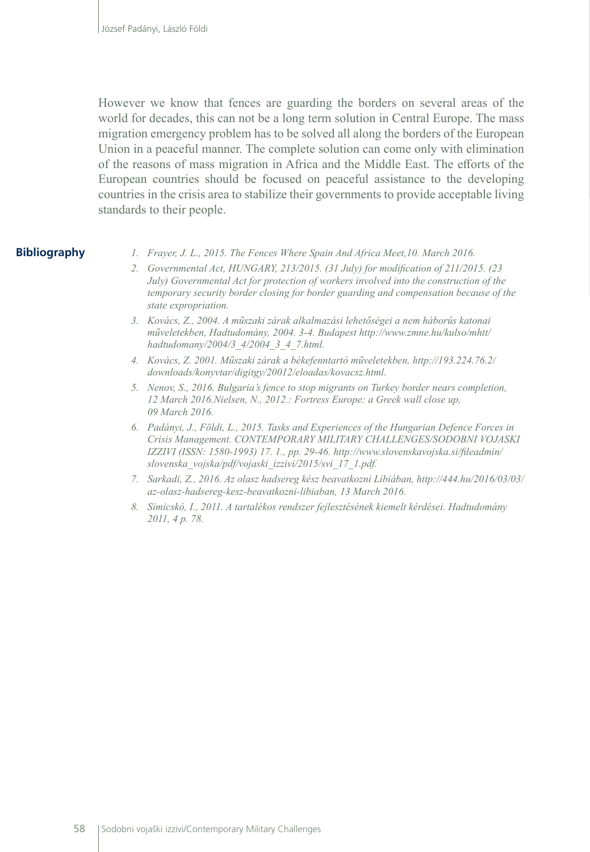However we know that fences are guarding the borders on several areas of the world for decades, this can not be a long term solution in Central Europe. The mass migration emergency problem has to be solved all along the borders of the European Union in a peaceful manner. The complete solution can come only with elimination of the reasons of mass migration in Africa and the Middle East. The efforts of the European countries should be focused on peaceful assistance to the developing countries in the crisis area to stabilize their governments to provide acceptable living standards to their people.

### **Bibliography**

*1. Frayer, J. L., 2015. The Fences Where Spain And Africa Meet,10. March 2016.*

- *2. Governmental Act, HUNGARY, 213/2015. (31 July) for modification of 211/2015. (23 July) Governmental Act for protection of workers involved into the construction of the temporary security border closing for border guarding and compensation because of the state expropriation.*
- *3. Kovács, Z., 2004. A műszaki zárak alkalmazási lehetőségei a nem háborús katonai műveletekben, Hadtudomány, 2004. 3-4. Budapest http://www.zmne.hu/kulso/mhtt/ hadtudomany/2004/3\_4/2004\_3\_4\_7.html.*
- *4. Kovács, Z. 2001. Műszaki zárak a békefenntartó műveletekben, http://193.224.76.2/ downloads/konyvtar/digitgy/20012/eloadas/kovacsz.html.*
- *5. Nenov, S., 2016. Bulgaria's fence to stop migrants on Turkey border nears completion, 12 March 2016.Nielsen, N., 2012.: Fortress Europe: a Greek wall close up, 09 March 2016.*
- *6. Padányi, J., Földi, L., 2015. Tasks and Experiences of the Hungarian Defence Forces in Crisis Management. CONTEMPORARY MILITARY CHALLENGES/SODOBNI VOJASKI IZZIVI (ISSN: 1580-1993) 17. 1., pp. 29-46. http://www.slovenskavojska.si/fileadmin/ slovenska\_vojska/pdf/vojaski\_izzivi/2015/svi\_17\_1.pdf.*
- *7. Sarkadi, Z., 2016. Az olasz hadsereg kész beavatkozni Líbiában, http://444.hu/2016/03/03/ az-olasz-hadsereg-kesz-beavatkozni-libiaban, 13 March 2016.*
- *8. Simicskó, I., 2011. A tartalékos rendszer fejlesztésének kiemelt kérdései. Hadtudomány 2011, 4 p. 78.*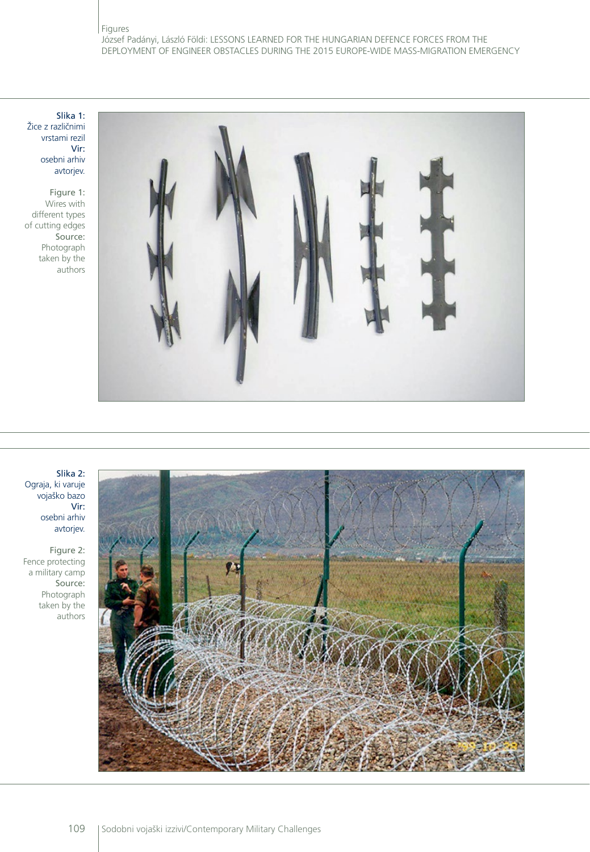Slika 1: Žice z različnimi vrstami rezil Vir: osebni arhiv avtorjev.

Figure 1: Wires with different types of cutting edges Source: Photograph taken by the authors



#### Slika 2: Ograja, ki varuje vojaško bazo Vir: osebni arhiv avtorjev.

Figure 2: Fence protecting a military camp Source: Photograph taken by the authors

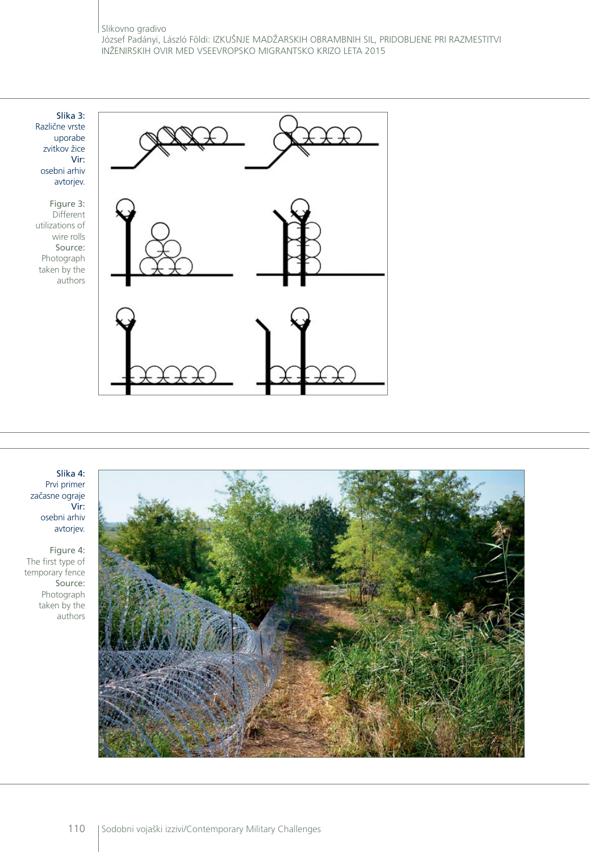Slika 3: Različne vrste uporabe zvitkov žice Vir: osebni arhiv avtorjev.

Figure 3: Different utilizations of wire rolls Source: Photograph taken by the authors



#### Slika 4: Prvi primer začasne ograje Vir: osebni arhiv avtorjev.

Figure 4: The first type of temporary fence Source: Photograph taken by the authors